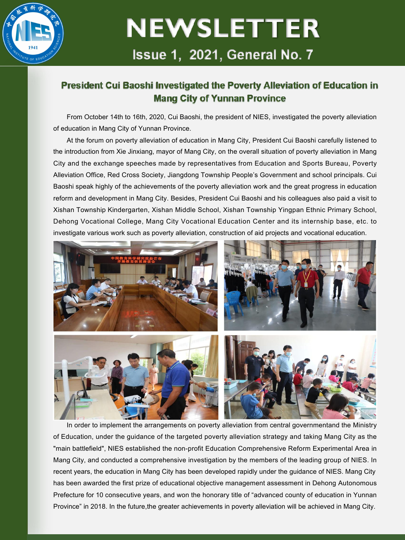

## **NEWSLETTER** Issue 1, 2021, General No. 7

### President Cui Baoshi Investigated the Poverty Alleviation of Education in **Mang City of Yunnan Province**

From October 14th to 16th, 2020, Cui Baoshi, the president of NIFS, investigated the poverty alleviation of education in Mang City of Yunnan Province.

At the forum on poverty alleviation of education in Mang City, President Cui Baoshi carefully listened to the introduction from Xie Jinxiang, mayor of Mang City, on the overall situation of poverty alleviation in Mang City and the exchange speeches made by representatives from Education and Sports Bureau, Poverty Alleviation Office, Red Cross Society, Jiangdong Township People's Government and school principals. Cui Baoshi speak highly of the achievements of the poverty alleviation work and the great progress in education reform and development in Mang City. Besides, President Cui Baoshi and his colleagues also paid a visit to Xishan Township Kindergarten, Xishan Middle School, Xishan Township Yingpan Ethnic Primary School, Dehong Vocational College, Mang City Vocational Education Center and its internship base, etc. to investigate various work such as poverty alleviation, construction of aid projects and vocational education.



In order to implement the arrangements on poverty alleviation from central governmentand the Ministry of Education, under the guidance of the targeted poverty alleviation strategy and taking Mang City as the "main battlefield", NIES established the non-profit Education Comprehensive Reform Experimental Area in Mang City, and conducted a comprehensive investigation by the members of the leading group of NIES. In recent years, the education in Mang City has been developed rapidly under the guidance of NIES. Mang City has been awarded the first prize of educational objective management assessment in Dehong Autonomous Prefecture for 10 consecutive years, and won the honorary title of "advanced county of education in Yunnan Province" in 2018. In the future,the greater achievements in poverty alleviation will be achieved in Mang City.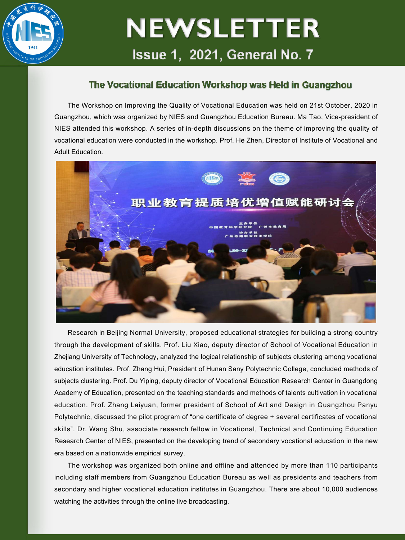

# **NEWSLETTER** Issue 1, 2021, General No. 7

### The Vocational Education Workshop was Held in Guangzhou

The Workshop on Improving the Quality of Vocational Education was held on 21st October, 2020 in Guangzhou, which was organized by NIES andGuangzhou Education Bureau. Ma Tao, Vice-president of NIES attended this workshop. A series of in-depth discussions on the theme of improving the quality of vocational education were conducted in the workshop. Prof. He Zhen, Director of Institute of Vocational and Adult Education.



Research in Beijing Normal University, proposed educational strategies for building a strong country through the development of skills. Prof. Liu Xiao, deputy director of School of Vocational Education in Zhejiang University of Technology, analyzed the logical relationship of subjects clustering among vocational education institutes. Prof. Zhang Hui, President of Hunan Sany Polytechnic College, concluded methods of subjects clustering. Prof. Du Yiping, deputy director of Vocational Education Research Center in Guangdong Academy of Education, presented on the teaching standards and methods of talents cultivation in vocational education. Prof. Zhang Laiyuan, former president of School of Art and Design in Guangzhou Panyu Polytechnic, discussed the pilot program of "one certificate of degree + several certificates of vocational skills". Dr. Wang Shu, associate research fellow in Vocational, Technical and Continuing Education Research Center of NIES, presented on the developing trend of secondary vocational education in the new era based on a nationwide empirical survey.

The workshop was organized both online and offline and attended by more than 110 participants including staff members from Guangzhou Education Bureau as well as presidents and teachers from secondary and higher vocational education institutes in Guangzhou. There are about 10,000 audiences watching the activities through the online live broadcasting.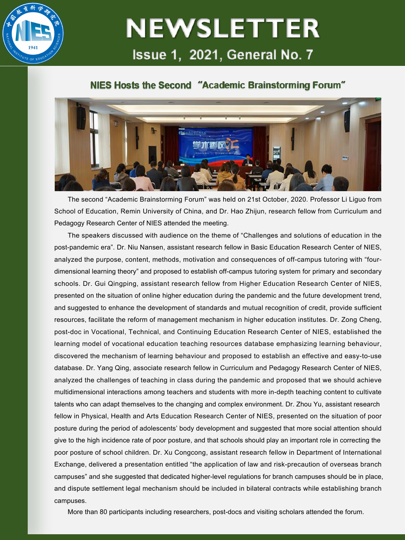

## **NEWSLETTER** Issue 1, 2021, General No. 7

### NIES Hosts the Second "Academic Brainstorming Forum"



The second "Academic Brainstorming Forum" was held on 21st October, 2020. Professor Li Liguo from School of Education, Remin University of China, and Dr. Hao Zhijun, research fellow from Curriculum and Pedagogy Research Center of NIES attended the meeting.

The speakers discussed with audience on the theme of "Challenges and solutions of education in the post-pandemic era". Dr. Niu Nansen, assistant research fellow in Basic Education Research Center of NIES, analyzed the purpose, content, methods, motivation and consequences of off-campus tutoring with "four dimensional learning theory" and proposed to establish off-campus tutoring system for primary and secondary schools. Dr. Gui Qingping, assistant research fellow from Higher Education Research Center of NIES, presented on the situation of online higher education during the pandemic and the future development trend, and suggested to enhance the development of standards and mutual recognition of credit, provide sufficient resources, facilitate the reform of management mechanism in higher education institutes. Dr. Zong Cheng, post-doc in Vocational, Technical, and Continuing Education Research Center of NIES, established the learning model of vocational education teaching resources database emphasizing learning behaviour, discovered the mechanism of learning behaviour and proposed to establish an effective and easy-to-use database. Dr. Yang Qing, associate research fellow in Curriculum and Pedagogy Research Center of NIES, analyzed the challenges of teaching in class during the pandemic and proposed that we should achieve multidimensional interactions among teachers and students with more in-depth teaching content to cultivate talents who can adapt themselves to the changing and complex environment. Dr. Zhou Yu, assistant research fellow in Physical, Health and Arts Education Research Center of NIES, presented on the situation of poor posture during the period of adolescents' body development and suggested that more social attention should give to the high incidence rate of poor posture, and that schools should play an important role in correcting the poor posture of school children. Dr. Xu Congcong, assistant research fellow in Department of International Exchange, delivered a presentation entitled "the application of law and risk-precaution of overseas branch campuses" and she suggested that dedicated higher-level regulations for branch campuses should be in place, and dispute settlement legal mechanism should be included in bilateral contracts while establishing branch campuses.

More than 80 participants including researchers, post-docs and visiting scholars attended the forum.